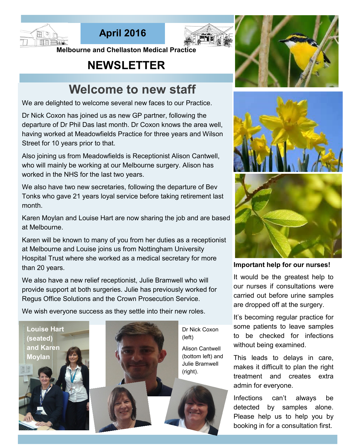





**Melbourne and Chellaston Medical Practice** 

## **NEWSLETTER**

# **Welcome to new staff**

We are delighted to welcome several new faces to our Practice.

Dr Nick Coxon has joined us as new GP partner, following the departure of Dr Phil Das last month. Dr Coxon knows the area well, having worked at Meadowfields Practice for three years and Wilson Street for 10 years prior to that.

Also joining us from Meadowfields is Receptionist Alison Cantwell, who will mainly be working at our Melbourne surgery. Alison has worked in the NHS for the last two years.

We also have two new secretaries, following the departure of Bev Tonks who gave 21 years loyal service before taking retirement last month.

Karen Moylan and Louise Hart are now sharing the job and are based at Melbourne.

Karen will be known to many of you from her duties as a receptionist at Melbourne and Louise joins us from Nottingham University Hospital Trust where she worked as a medical secretary for more than 20 years.

We also have a new relief receptionist, Julie Bramwell who will provide support at both surgeries. Julie has previously worked for Regus Office Solutions and the Crown Prosecution Service.

We wish everyone success as they settle into their new roles.





Dr Nick Coxon

Alison Cantwell (bottom left) and Julie Bramwell







**Important help for our nurses!**

It would be the greatest help to our nurses if consultations were carried out before urine samples are dropped off at the surgery.

It's becoming regular practice for some patients to leave samples to be checked for infections without being examined.

This leads to delays in care, makes it difficult to plan the right treatment and creates extra admin for everyone.

Infections can't always be detected by samples alone. Please help us to help you by booking in for a consultation first.